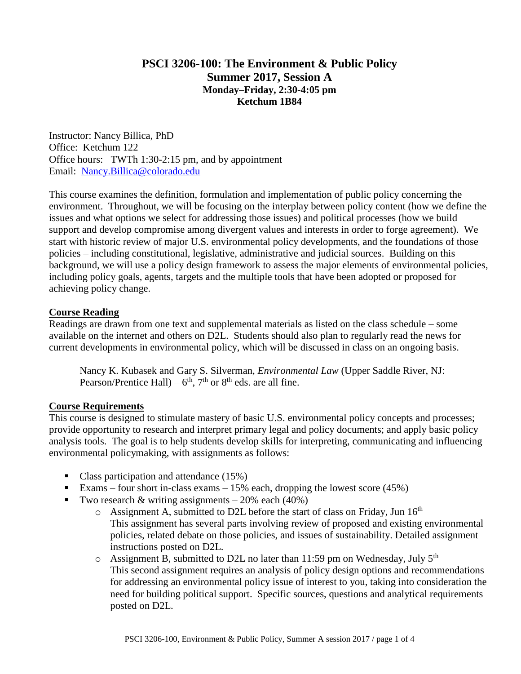# **PSCI 3206-100: The Environment & Public Policy Summer 2017, Session A Monday–Friday, 2:30-4:05 pm Ketchum 1B84**

Instructor: Nancy Billica, PhD Office: Ketchum 122 Office hours: TWTh 1:30-2:15 pm, and by appointment Email: [Nancy.Billica@colorado.edu](../PSCI%203206,%20Environment%20&%20Public%20Policy%202011/PSCI%203206,%20Summer%202010/Nancy.Billica@colorado.edu)

This course examines the definition, formulation and implementation of public policy concerning the environment. Throughout, we will be focusing on the interplay between policy content (how we define the issues and what options we select for addressing those issues) and political processes (how we build support and develop compromise among divergent values and interests in order to forge agreement). We start with historic review of major U.S. environmental policy developments, and the foundations of those policies – including constitutional, legislative, administrative and judicial sources. Building on this background, we will use a policy design framework to assess the major elements of environmental policies, including policy goals, agents, targets and the multiple tools that have been adopted or proposed for achieving policy change.

# **Course Reading**

Readings are drawn from one text and supplemental materials as listed on the class schedule – some available on the internet and others on D2L. Students should also plan to regularly read the news for current developments in environmental policy, which will be discussed in class on an ongoing basis.

Nancy K. Kubasek and Gary S. Silverman, *Environmental Law* (Upper Saddle River, NJ: Pearson/Prentice Hall) –  $6<sup>th</sup>$ , 7<sup>th</sup> or 8<sup>th</sup> eds. are all fine.

# **Course Requirements**

This course is designed to stimulate mastery of basic U.S. environmental policy concepts and processes; provide opportunity to research and interpret primary legal and policy documents; and apply basic policy analysis tools. The goal is to help students develop skills for interpreting, communicating and influencing environmental policymaking, with assignments as follows:

- Class participation and attendance (15%)
- Exams four short in-class exams 15% each, dropping the lowest score  $(45%)$
- Two research & writing assignments 20% each  $(40\%)$ 
	- $\circ$  Assignment A, submitted to D2L before the start of class on Friday, Jun 16<sup>th</sup> This assignment has several parts involving review of proposed and existing environmental policies, related debate on those policies, and issues of sustainability. Detailed assignment instructions posted on D2L.
	- $\circ$  Assignment B, submitted to D2L no later than 11:59 pm on Wednesday, July 5<sup>th</sup> This second assignment requires an analysis of policy design options and recommendations for addressing an environmental policy issue of interest to you, taking into consideration the need for building political support. Specific sources, questions and analytical requirements posted on D2L.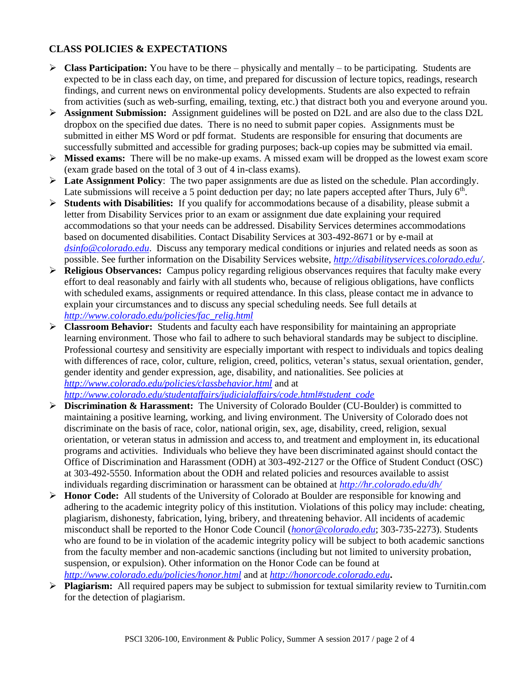# **CLASS POLICIES & EXPECTATIONS**

- **Class Participation:** You have to be there physically and mentally to be participating. Students are expected to be in class each day, on time, and prepared for discussion of lecture topics, readings, research findings, and current news on environmental policy developments. Students are also expected to refrain from activities (such as web-surfing, emailing, texting, etc.) that distract both you and everyone around you.
- **Assignment Submission:** Assignment guidelines will be posted on D2L and are also due to the class D2L dropbox on the specified due dates. There is no need to submit paper copies. Assignments must be submitted in either MS Word or pdf format. Students are responsible for ensuring that documents are successfully submitted and accessible for grading purposes; back-up copies may be submitted via email.
- **Missed exams:** There will be no make-up exams. A missed exam will be dropped as the lowest exam score (exam grade based on the total of 3 out of 4 in-class exams).
- **Late Assignment Policy**: The two paper assignments are due as listed on the schedule. Plan accordingly. Late submissions will receive a 5 point deduction per day; no late papers accepted after Thurs, July  $6<sup>th</sup>$ .
- **Students with Disabilities:** If you qualify for accommodations because of a disability, please submit a letter from Disability Services prior to an exam or assignment due date explaining your required accommodations so that your needs can be addressed. Disability Services determines accommodations based on documented disabilities. Contact Disability Services at 303-492-8671 or by e-mail at *[dsinfo@colorado.edu](https://exchangeweb.colorado.edu/owa/redir.aspx?C=aVVMzThhmEieBX-i851PNL6DsUlJw89IFKltXO0r8ia1uqXjBlsATc1Iq2X1lmLTzaQvbet3VFg.&URL=mailto%3adsinfo%40colorado.edu)*. Discuss any temporary medical conditions or injuries and related needs as soon as possible. See further information on the Disability Services website, *[http://disabilityservices.colorado.edu/](https://exchangeweb.colorado.edu/owa/redir.aspx?C=aVVMzThhmEieBX-i851PNL6DsUlJw89IFKltXO0r8ia1uqXjBlsATc1Iq2X1lmLTzaQvbet3VFg.&URL=http%3a%2f%2fwww.alumniconnections.com%2flinks%2flink.cgi%3fl%3d3973564%26h%3d8730%26e%3dUCBI-20130110125327)*.
- **Religious Observances:** Campus policy regarding religious observances requires that faculty make every effort to deal reasonably and fairly with all students who, because of religious obligations, have conflicts with scheduled exams, assignments or required attendance. In this class, please contact me in advance to explain your circumstances and to discuss any special scheduling needs. See full details at *[http://www.colorado.edu/policies/fac\\_relig.html](https://exchangeweb.colorado.edu/owa/redir.aspx?C=aVVMzThhmEieBX-i851PNL6DsUlJw89IFKltXO0r8ia1uqXjBlsATc1Iq2X1lmLTzaQvbet3VFg.&URL=http%3a%2f%2fwww.alumniconnections.com%2flinks%2flink.cgi%3fl%3d3973567%26h%3d8730%26e%3dUCBI-20130110125327)*
- **Classroom Behavior:** Students and faculty each have responsibility for maintaining an appropriate learning environment. Those who fail to adhere to such behavioral standards may be subject to discipline. Professional courtesy and sensitivity are especially important with respect to individuals and topics dealing with differences of race, color, culture, religion, creed, politics, veteran's status, sexual orientation, gender, gender identity and gender expression, age, disability, and nationalities. See policies at *[http://www.colorado.edu/policies/classbehavior.html](https://exchangeweb.colorado.edu/owa/redir.aspx?C=aVVMzThhmEieBX-i851PNL6DsUlJw89IFKltXO0r8ia1uqXjBlsATc1Iq2X1lmLTzaQvbet3VFg.&URL=http%3a%2f%2fwww.alumniconnections.com%2flinks%2flink.cgi%3fl%3d3973570%26h%3d8730%26e%3dUCBI-20130110125327)* and at

*[http://www.colorado.edu/studentaffairs/judicialaffairs/code.html#student\\_code](https://exchangeweb.colorado.edu/owa/redir.aspx?C=aVVMzThhmEieBX-i851PNL6DsUlJw89IFKltXO0r8ia1uqXjBlsATc1Iq2X1lmLTzaQvbet3VFg.&URL=http%3a%2f%2fwww.alumniconnections.com%2flinks%2flink.cgi%3fl%3d3973571%26h%3d8730%26e%3dUCBI-20130110125327)*

- **Discrimination & Harassment:** The University of Colorado Boulder (CU-Boulder) is committed to maintaining a positive learning, working, and living environment. The University of Colorado does not discriminate on the basis of race, color, national origin, sex, age, disability, creed, religion, sexual orientation, or veteran status in admission and access to, and treatment and employment in, its educational programs and activities. Individuals who believe they have been discriminated against should contact the Office of Discrimination and Harassment (ODH) at 303-492-2127 or the Office of Student Conduct (OSC) at 303-492-5550. Information about the ODH and related policies and resources available to assist individuals regarding discrimination or harassment can be obtained at *[http://hr.colorado.edu/dh/](https://exchangeweb.colorado.edu/owa/redir.aspx?C=aVVMzThhmEieBX-i851PNL6DsUlJw89IFKltXO0r8ia1uqXjBlsATc1Iq2X1lmLTzaQvbet3VFg.&URL=http%3a%2f%2fwww.alumniconnections.com%2flinks%2flink.cgi%3fl%3d3973572%26h%3d8730%26e%3dUCBI-20130110125327)*
- **Honor Code:** All students of the University of Colorado at Boulder are responsible for knowing and adhering to the academic integrity policy of this institution. Violations of this policy may include: cheating, plagiarism, dishonesty, fabrication, lying, bribery, and threatening behavior. All incidents of academic misconduct shall be reported to the Honor Code Council (*[honor@colorado.edu](https://exchangeweb.colorado.edu/owa/redir.aspx?C=aVVMzThhmEieBX-i851PNL6DsUlJw89IFKltXO0r8ia1uqXjBlsATc1Iq2X1lmLTzaQvbet3VFg.&URL=mailto%3ahonor%40colorado.edu)*; 303-735-2273). Students who are found to be in violation of the academic integrity policy will be subject to both academic sanctions from the faculty member and non-academic sanctions (including but not limited to university probation, suspension, or expulsion). Other information on the Honor Code can be found at *[http://www.colorado.edu/policies/honor.html](https://exchangeweb.colorado.edu/owa/redir.aspx?C=aVVMzThhmEieBX-i851PNL6DsUlJw89IFKltXO0r8ia1uqXjBlsATc1Iq2X1lmLTzaQvbet3VFg.&URL=http%3a%2f%2fwww.alumniconnections.com%2flinks%2flink.cgi%3fl%3d3973573%26h%3d8730%26e%3dUCBI-20130110125327)* and at *[http://honorcode.colorado.edu](https://exchangeweb.colorado.edu/owa/redir.aspx?C=aVVMzThhmEieBX-i851PNL6DsUlJw89IFKltXO0r8ia1uqXjBlsATc1Iq2X1lmLTzaQvbet3VFg.&URL=http%3a%2f%2fwww.alumniconnections.com%2flinks%2flink.cgi%3fl%3d3973574%26h%3d8730%26e%3dUCBI-20130110125327)***.**
- **Plagiarism:** All required papers may be subject to submission for textual similarity review to Turnitin.com for the detection of plagiarism.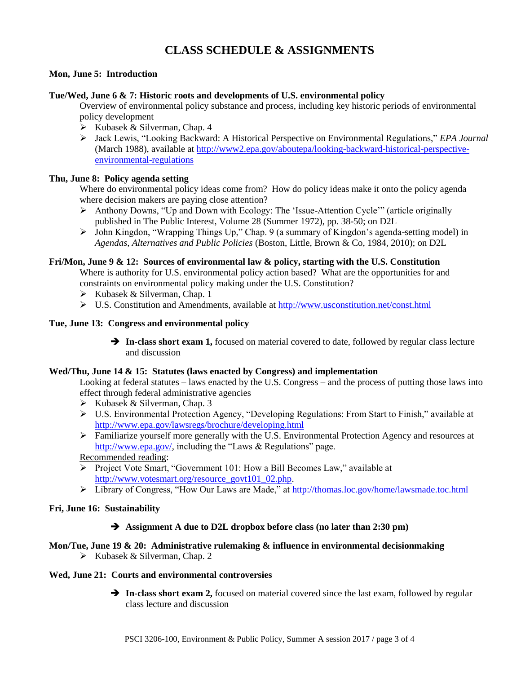# **CLASS SCHEDULE & ASSIGNMENTS**

# **Mon, June 5: Introduction**

#### **Tue/Wed, June 6 & 7: Historic roots and developments of U.S. environmental policy**

Overview of environmental policy substance and process, including key historic periods of environmental policy development

- $\triangleright$  Kubasek & Silverman, Chap. 4
- Jack Lewis, "Looking Backward: A Historical Perspective on Environmental Regulations," *EPA Journal*  (March 1988), available at http://www2.epa.gov/aboutepa/looking-backward-historical-perspectiveenvironmental-regulations

## **Thu, June 8: Policy agenda setting**

Where do environmental policy ideas come from? How do policy ideas make it onto the policy agenda where decision makers are paying close attention?

- Anthony Downs, "Up and Down with Ecology: The 'Issue-Attention Cycle'" (article originally published in The Public Interest, Volume 28 (Summer 1972), pp. 38-50; on D2L
- John Kingdon, "Wrapping Things Up," Chap. 9 (a summary of Kingdon's agenda-setting model) in *Agendas, Alternatives and Public Policies* (Boston, Little, Brown & Co, 1984, 2010); on D2L

# **Fri/Mon, June 9 & 12: Sources of environmental law & policy, starting with the U.S. Constitution**

Where is authority for U.S. environmental policy action based? What are the opportunities for and constraints on environmental policy making under the U.S. Constitution?

- $\triangleright$  Kubasek & Silverman, Chap. 1
- U.S. Constitution and Amendments, available at<http://www.usconstitution.net/const.html>

#### **Tue, June 13: Congress and environmental policy**

 **In-class short exam 1,** focused on material covered to date, followed by regular class lecture and discussion

#### **Wed/Thu, June 14 & 15: Statutes (laws enacted by Congress) and implementation**

Looking at federal statutes – laws enacted by the U.S. Congress – and the process of putting those laws into effect through federal administrative agencies

- $\triangleright$  Kubasek & Silverman, Chap. 3
- U.S. Environmental Protection Agency, "Developing Regulations: From Start to Finish," available at <http://www.epa.gov/lawsregs/brochure/developing.html>
- Familiarize yourself more generally with the U.S. Environmental Protection Agency and resources at [http://www.epa.gov/,](http://www.epa.gov/) including the "Laws & Regulations" page.

Recommended reading:

- Project Vote Smart, "Government 101: How a Bill Becomes Law," available at [http://www.votesmart.org/resource\\_govt101\\_02.php.](http://www.votesmart.org/resource_govt101_02.php)
- Library of Congress, "How Our Laws are Made," at<http://thomas.loc.gov/home/lawsmade.toc.html>

#### **Fri, June 16: Sustainability**

# **Assignment A due to D2L dropbox before class (no later than 2:30 pm)**

#### **Mon/Tue, June 19 & 20: Administrative rulemaking & influence in environmental decisionmaking**  $\triangleright$  Kubasek & Silverman, Chap. 2

#### **Wed, June 21: Courts and environmental controversies**

**In-class short exam 2,** focused on material covered since the last exam, followed by regular class lecture and discussion